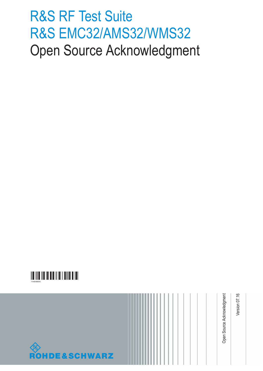# R&S RF Test Suite R&S EMC32/AMS32/WMS32 Open Source Acknowledgment



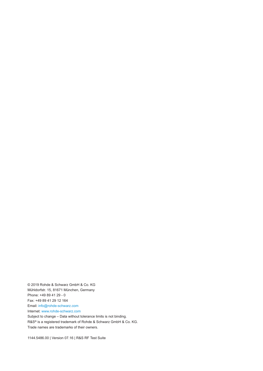© 2019 Rohde & Schwarz GmbH & Co. KG Mühldorfstr. 15, 81671 München, Germany Phone: +49 89 41 29 - 0 Fax: +49 89 41 29 12 164 Email: [info@rohde-schwarz.com](mailto:info@rohde-schwarz.com) Internet: [www.rohde-schwarz.com](http://www.rohde-schwarz.com)

Subject to change – Data without tolerance limits is not binding. R&S® is a registered trademark of Rohde & Schwarz GmbH & Co. KG. Trade names are trademarks of their owners.

1144.5486.00 | Version 07.16 | R&S RF Test Suite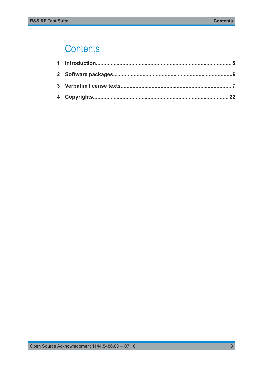## **Contents**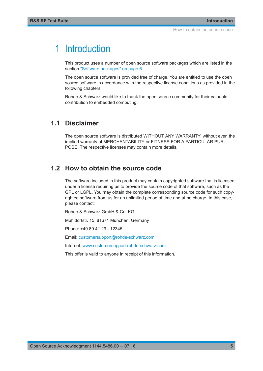## <span id="page-4-0"></span>1 Introduction

This product uses a number of open source software packages which are listed in the section ["Software packages" on page 6](#page-5-0).

The open source software is provided free of charge. You are entitled to use the open source software in accordance with the respective license conditions as provided in the following chapters.

Rohde & Schwarz would like to thank the open source community for their valuable contribution to embedded computing.

## **1.1 Disclaimer**

The open source software is distributed WITHOUT ANY WARRANTY; without even the implied warranty of MERCHANTABILITY or FITNESS FOR A PARTICULAR PUR-POSE. The respective licenses may contain more details.

### **1.2 How to obtain the source code**

The software included in this product may contain copyrighted software that is licensed under a license requiring us to provide the source code of that software, such as the GPL or LGPL. You may obtain the complete corresponding source code for such copyrighted software from us for an unlimited period of time and at no charge. In this case, please contact:

Rohde & Schwarz GmbH & Co. KG

Mühldorfstr. 15, 81671 München, Germany

Phone: +49 89 41 29 - 12345

Email: [customersupport@rohde-schwarz.com](mailto:customersupport@rohde-schwarz.com)

Internet: [www.customersupport.rohde-schwarz.com](http://www.customersupport.rohde-schwarz.com)

This offer is valid to anyone in receipt of this information.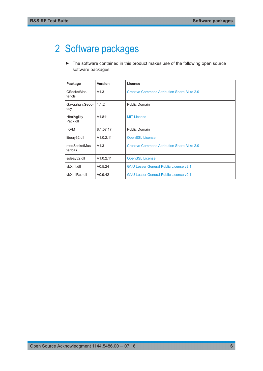## <span id="page-5-0"></span>2 Software packages

► The software contained in this product makes use of the following open source software packages.

| Package                  | <b>Version</b> | License                                             |
|--------------------------|----------------|-----------------------------------------------------|
| CSocketMas-<br>ter.cls   | V1.3           | <b>Creative Commons Attribution Share Alike 2.0</b> |
| Gavaghan.Geod-<br>esy    | 1.1.2          | Public Domain                                       |
| HtmlAgility-<br>Pack.dll | V1.811         | <b>MIT License</b>                                  |
| <b>IKVM</b>              | 8.1.57.17      | Public Domain                                       |
| libeay32.dll             | V1.0.2.11      | <b>OpenSSL License</b>                              |
| modSocketMas-<br>ter.bas | V1.3           | <b>Creative Commons Attribution Share Alike 2.0</b> |
| ssleay32.dll             | V1.0.2.11      | <b>OpenSSL License</b>                              |
| vbXml.dll                | V0.5.24        | <b>GNU Lesser General Public License v2.1</b>       |
| vbXmlRcp.dll             | V0.9.42        | <b>GNU Lesser General Public License v2.1</b>       |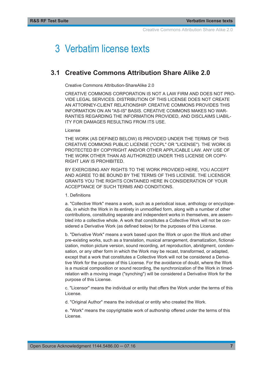Creative Commons Attribution Share Alike 2.0

## <span id="page-6-0"></span>3 Verbatim license texts

### **3.1 Creative Commons Attribution Share Alike 2.0**

Creative Commons Attribution-ShareAlike 2.0

CREATIVE COMMONS CORPORATION IS NOT A LAW FIRM AND DOES NOT PRO-VIDE LEGAL SERVICES. DISTRIBUTION OF THIS LICENSE DOES NOT CREATE AN ATTORNEY-CLIENT RELATIONSHIP. CREATIVE COMMONS PROVIDES THIS INFORMATION ON AN "AS-IS" BASIS. CREATIVE COMMONS MAKES NO WAR-RANTIES REGARDING THE INFORMATION PROVIDED, AND DISCLAIMS LIABIL-ITY FOR DAMAGES RESULTING FROM ITS USE.

#### License

THE WORK (AS DEFINED BELOW) IS PROVIDED UNDER THE TERMS OF THIS CREATIVE COMMONS PUBLIC LICENSE ("CCPL" OR "LICENSE"). THE WORK IS PROTECTED BY COPYRIGHT AND/OR OTHER APPLICABLE LAW. ANY USE OF THE WORK OTHER THAN AS AUTHORIZED UNDER THIS LICENSE OR COPY-RIGHT LAW IS PROHIBITED.

BY EXERCISING ANY RIGHTS TO THE WORK PROVIDED HERE, YOU ACCEPT AND AGREE TO BE BOUND BY THE TERMS OF THIS LICENSE. THE LICENSOR GRANTS YOU THE RIGHTS CONTAINED HERE IN CONSIDERATION OF YOUR ACCEPTANCE OF SUCH TERMS AND CONDITIONS.

1. Definitions

a. "Collective Work" means a work, such as a periodical issue, anthology or encyclopedia, in which the Work in its entirety in unmodified form, along with a number of other contributions, constituting separate and independent works in themselves, are assembled into a collective whole. A work that constitutes a Collective Work will not be considered a Derivative Work (as defined below) for the purposes of this License.

b. "Derivative Work" means a work based upon the Work or upon the Work and other pre-existing works, such as a translation, musical arrangement, dramatization, fictionalization, motion picture version, sound recording, art reproduction, abridgment, condensation, or any other form in which the Work may be recast, transformed, or adapted, except that a work that constitutes a Collective Work will not be considered a Derivative Work for the purpose of this License. For the avoidance of doubt, where the Work is a musical composition or sound recording, the synchronization of the Work in timedrelation with a moving image ("synching") will be considered a Derivative Work for the purpose of this License.

c. "Licensor" means the individual or entity that offers the Work under the terms of this License.

d. "Original Author" means the individual or entity who created the Work.

e. "Work" means the copyrightable work of authorship offered under the terms of this License.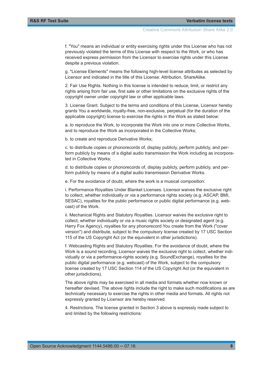f. "You" means an individual or entity exercising rights under this License who has not previously violated the terms of this License with respect to the Work, or who has received express permission from the Licensor to exercise rights under this License despite a previous violation.

g. "License Elements" means the following high-level license attributes as selected by Licensor and indicated in the title of this License: Attribution, ShareAlike.

2. Fair Use Rights. Nothing in this license is intended to reduce, limit, or restrict any rights arising from fair use, first sale or other limitations on the exclusive rights of the copyright owner under copyright law or other applicable laws.

3. License Grant. Subject to the terms and conditions of this License, Licensor hereby grants You a worldwide, royalty-free, non-exclusive, perpetual (for the duration of the applicable copyright) license to exercise the rights in the Work as stated below:

a. to reproduce the Work, to incorporate the Work into one or more Collective Works, and to reproduce the Work as incorporated in the Collective Works;

b. to create and reproduce Derivative Works;

c. to distribute copies or phonorecords of, display publicly, perform publicly, and perform publicly by means of a digital audio transmission the Work including as incorporated in Collective Works;

d. to distribute copies or phonorecords of, display publicly, perform publicly, and perform publicly by means of a digital audio transmission Derivative Works.

e. For the avoidance of doubt, where the work is a musical composition:

i. Performance Royalties Under Blanket Licenses. Licensor waives the exclusive right to collect, whether individually or via a performance rights society (e.g. ASCAP, BMI, SESAC), royalties for the public performance or public digital performance (e.g. webcast) of the Work.

ii. Mechanical Rights and Statutory Royalties. Licensor waives the exclusive right to collect, whether individually or via a music rights society or designated agent (e.g. Harry Fox Agency), royalties for any phonorecord You create from the Work ("cover version") and distribute, subject to the compulsory license created by 17 USC Section 115 of the US Copyright Act (or the equivalent in other jurisdictions).

f. Webcasting Rights and Statutory Royalties. For the avoidance of doubt, where the Work is a sound recording, Licensor waives the exclusive right to collect, whether individually or via a performance-rights society (e.g. SoundExchange), royalties for the public digital performance (e.g. webcast) of the Work, subject to the compulsory license created by 17 USC Section 114 of the US Copyright Act (or the equivalent in other jurisdictions).

The above rights may be exercised in all media and formats whether now known or hereafter devised. The above rights include the right to make such modifications as are technically necessary to exercise the rights in other media and formats. All rights not expressly granted by Licensor are hereby reserved.

4. Restrictions. The license granted in Section 3 above is expressly made subject to and limited by the following restrictions: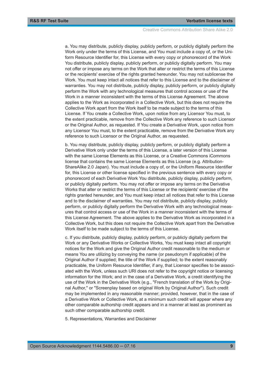#### Creative Commons Attribution Share Alike 2.0

a. You may distribute, publicly display, publicly perform, or publicly digitally perform the Work only under the terms of this License, and You must include a copy of, or the Uniform Resource Identifier for, this License with every copy or phonorecord of the Work You distribute, publicly display, publicly perform, or publicly digitally perform. You may not offer or impose any terms on the Work that alter or restrict the terms of this License or the recipients' exercise of the rights granted hereunder. You may not sublicense the Work. You must keep intact all notices that refer to this License and to the disclaimer of warranties. You may not distribute, publicly display, publicly perform, or publicly digitally perform the Work with any technological measures that control access or use of the Work in a manner inconsistent with the terms of this License Agreement. The above applies to the Work as incorporated in a Collective Work, but this does not require the Collective Work apart from the Work itself to be made subject to the terms of this License. If You create a Collective Work, upon notice from any Licensor You must, to the extent practicable, remove from the Collective Work any reference to such Licensor or the Original Author, as requested. If You create a Derivative Work, upon notice from any Licensor You must, to the extent practicable, remove from the Derivative Work any reference to such Licensor or the Original Author, as requested.

b. You may distribute, publicly display, publicly perform, or publicly digitally perform a Derivative Work only under the terms of this License, a later version of this License with the same License Elements as this License, or a Creative Commons iCommons license that contains the same License Elements as this License (e.g. Attribution-ShareAlike 2.0 Japan). You must include a copy of, or the Uniform Resource Identifier for, this License or other license specified in the previous sentence with every copy or phonorecord of each Derivative Work You distribute, publicly display, publicly perform, or publicly digitally perform. You may not offer or impose any terms on the Derivative Works that alter or restrict the terms of this License or the recipients' exercise of the rights granted hereunder, and You must keep intact all notices that refer to this License and to the disclaimer of warranties. You may not distribute, publicly display, publicly perform, or publicly digitally perform the Derivative Work with any technological measures that control access or use of the Work in a manner inconsistent with the terms of this License Agreement. The above applies to the Derivative Work as incorporated in a Collective Work, but this does not require the Collective Work apart from the Derivative Work itself to be made subject to the terms of this License.

c. If you distribute, publicly display, publicly perform, or publicly digitally perform the Work or any Derivative Works or Collective Works, You must keep intact all copyright notices for the Work and give the Original Author credit reasonable to the medium or means You are utilizing by conveying the name (or pseudonym if applicable) of the Original Author if supplied; the title of the Work if supplied; to the extent reasonably practicable, the Uniform Resource Identifier, if any, that Licensor specifies to be associated with the Work, unless such URI does not refer to the copyright notice or licensing information for the Work; and in the case of a Derivative Work, a credit identifying the use of the Work in the Derivative Work (e.g., "French translation of the Work by Original Author," or "Screenplay based on original Work by Original Author"). Such credit may be implemented in any reasonable manner; provided, however, that in the case of a Derivative Work or Collective Work, at a minimum such credit will appear where any other comparable authorship credit appears and in a manner at least as prominent as such other comparable authorship credit.

5. Representations, Warranties and Disclaimer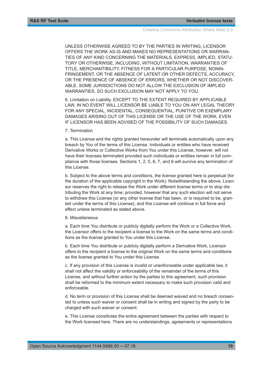UNLESS OTHERWISE AGREED TO BY THE PARTIES IN WRITING, LICENSOR OFFERS THE WORK AS-IS AND MAKES NO REPRESENTATIONS OR WARRAN-TIES OF ANY KIND CONCERNING THE MATERIALS, EXPRESS, IMPLIED, STATU-TORY OR OTHERWISE, INCLUDING, WITHOUT LIMITATION, WARRANTIES OF TITLE, MERCHANTIBILITY, FITNESS FOR A PARTICULAR PURPOSE, NONIN-FRINGEMENT, OR THE ABSENCE OF LATENT OR OTHER DEFECTS, ACCURACY, OR THE PRESENCE OF ABSENCE OF ERRORS, WHETHER OR NOT DISCOVER-ABLE. SOME JURISDICTIONS DO NOT ALLOW THE EXCLUSION OF IMPLIED WARRANTIES, SO SUCH EXCLUSION MAY NOT APPLY TO YOU.

6. Limitation on Liability. EXCEPT TO THE EXTENT REQUIRED BY APPLICABLE LAW, IN NO EVENT WILL LICENSOR BE LIABLE TO YOU ON ANY LEGAL THEORY FOR ANY SPECIAL, INCIDENTAL, CONSEQUENTIAL, PUNITIVE OR EXEMPLARY DAMAGES ARISING OUT OF THIS LICENSE OR THE USE OF THE WORK, EVEN IF LICENSOR HAS BEEN ADVISED OF THE POSSIBILITY OF SUCH DAMAGES.

#### 7. Termination

a. This License and the rights granted hereunder will terminate automatically upon any breach by You of the terms of this License. Individuals or entities who have received Derivative Works or Collective Works from You under this License, however, will not have their licenses terminated provided such individuals or entities remain in full compliance with those licenses. Sections 1, 2, 5, 6, 7, and 8 will survive any termination of this License.

b. Subject to the above terms and conditions, the license granted here is perpetual (for the duration of the applicable copyright in the Work). Notwithstanding the above, Licensor reserves the right to release the Work under different license terms or to stop distributing the Work at any time; provided, however that any such election will not serve to withdraw this License (or any other license that has been, or is required to be, granted under the terms of this License), and this License will continue in full force and effect unless terminated as stated above.

#### 8. Miscellaneous

a. Each time You distribute or publicly digitally perform the Work or a Collective Work, the Licensor offers to the recipient a license to the Work on the same terms and conditions as the license granted to You under this License.

b. Each time You distribute or publicly digitally perform a Derivative Work, Licensor offers to the recipient a license to the original Work on the same terms and conditions as the license granted to You under this License.

c. If any provision of this License is invalid or unenforceable under applicable law, it shall not affect the validity or enforceability of the remainder of the terms of this License, and without further action by the parties to this agreement, such provision shall be reformed to the minimum extent necessary to make such provision valid and enforceable.

d. No term or provision of this License shall be deemed waived and no breach consented to unless such waiver or consent shall be in writing and signed by the party to be charged with such waiver or consent.

e. This License constitutes the entire agreement between the parties with respect to the Work licensed here. There are no understandings, agreements or representations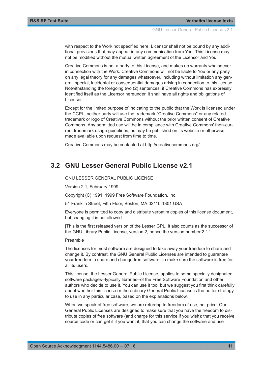<span id="page-10-0"></span>with respect to the Work not specified here. Licensor shall not be bound by any additional provisions that may appear in any communication from You. This License may not be modified without the mutual written agreement of the Licensor and You.

Creative Commons is not a party to this License, and makes no warranty whatsoever in connection with the Work. Creative Commons will not be liable to You or any party on any legal theory for any damages whatsoever, including without limitation any general, special, incidental or consequential damages arising in connection to this license. Notwithstanding the foregoing two (2) sentences, if Creative Commons has expressly identified itself as the Licensor hereunder, it shall have all rights and obligations of Licensor.

Except for the limited purpose of indicating to the public that the Work is licensed under the CCPL, neither party will use the trademark "Creative Commons" or any related trademark or logo of Creative Commons without the prior written consent of Creative Commons. Any permitted use will be in compliance with Creative Commons' then-current trademark usage guidelines, as may be published on its website or otherwise made available upon request from time to time.

Creative Commons may be contacted at http://creativecommons.org/.

### **3.2 GNU Lesser General Public License v2.1**

GNU LESSER GENERAL PUBLIC LICENSE

Version 2.1, February 1999

Copyright (C) 1991, 1999 Free Software Foundation, Inc.

51 Franklin Street, Fifth Floor, Boston, MA 02110-1301 USA

Everyone is permitted to copy and distribute verbatim copies of this license document, but changing it is not allowed.

[This is the first released version of the Lesser GPL. It also counts as the successor of the GNU Library Public License, version 2, hence the version number 2.1.]

#### Preamble

The licenses for most software are designed to take away your freedom to share and change it. By contrast, the GNU General Public Licenses are intended to guarantee your freedom to share and change free software--to make sure the software is free for all its users.

This license, the Lesser General Public License, applies to some specially designated software packages--typically libraries--of the Free Software Foundation and other authors who decide to use it. You can use it too, but we suggest you first think carefully about whether this license or the ordinary General Public License is the better strategy to use in any particular case, based on the explanations below.

When we speak of free software, we are referring to freedom of use, not price. Our General Public Licenses are designed to make sure that you have the freedom to distribute copies of free software (and charge for this service if you wish); that you receive source code or can get it if you want it; that you can change the software and use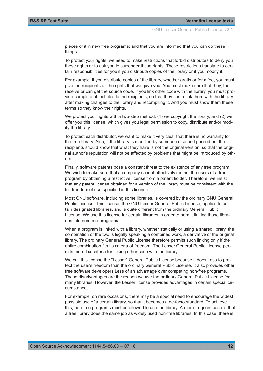pieces of it in new free programs; and that you are informed that you can do these things.

To protect your rights, we need to make restrictions that forbid distributors to deny you these rights or to ask you to surrender these rights. These restrictions translate to certain responsibilities for you if you distribute copies of the library or if you modify it.

For example, if you distribute copies of the library, whether gratis or for a fee, you must give the recipients all the rights that we gave you. You must make sure that they, too, receive or can get the source code. If you link other code with the library, you must provide complete object files to the recipients, so that they can relink them with the library after making changes to the library and recompiling it. And you must show them these terms so they know their rights.

We protect your rights with a two-step method: (1) we copyright the library, and (2) we offer you this license, which gives you legal permission to copy, distribute and/or modify the library.

To protect each distributor, we want to make it very clear that there is no warranty for the free library. Also, if the library is modified by someone else and passed on, the recipients should know that what they have is not the original version, so that the original author's reputation will not be affected by problems that might be introduced by others.

Finally, software patents pose a constant threat to the existence of any free program. We wish to make sure that a company cannot effectively restrict the users of a free program by obtaining a restrictive license from a patent holder. Therefore, we insist that any patent license obtained for a version of the library must be consistent with the full freedom of use specified in this license.

Most GNU software, including some libraries, is covered by the ordinary GNU General Public License. This license, the GNU Lesser General Public License, applies to certain designated libraries, and is quite different from the ordinary General Public License. We use this license for certain libraries in order to permit linking those libraries into non-free programs.

When a program is linked with a library, whether statically or using a shared library, the combination of the two is legally speaking a combined work, a derivative of the original library. The ordinary General Public License therefore permits such linking only if the entire combination fits its criteria of freedom. The Lesser General Public License permits more lax criteria for linking other code with the library.

We call this license the "Lesser" General Public License because it does Less to protect the user's freedom than the ordinary General Public License. It also provides other free software developers Less of an advantage over competing non-free programs. These disadvantages are the reason we use the ordinary General Public License for many libraries. However, the Lesser license provides advantages in certain special circumstances.

For example, on rare occasions, there may be a special need to encourage the widest possible use of a certain library, so that it becomes a de-facto standard. To achieve this, non-free programs must be allowed to use the library. A more frequent case is that a free library does the same job as widely used non-free libraries. In this case, there is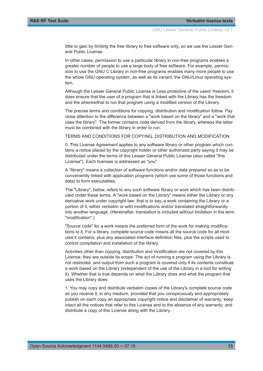little to gain by limiting the free library to free software only, so we use the Lesser General Public License.

In other cases, permission to use a particular library in non-free programs enables a greater number of people to use a large body of free software. For example, permission to use the GNU C Library in non-free programs enables many more people to use the whole GNU operating system, as well as its variant, the GNU/Linux operating system.

Although the Lesser General Public License is Less protective of the users' freedom, it does ensure that the user of a program that is linked with the Library has the freedom and the wherewithal to run that program using a modified version of the Library.

The precise terms and conditions for copying, distribution and modification follow. Pay close attention to the difference between a "work based on the library" and a "work that uses the library". The former contains code derived from the library, whereas the latter must be combined with the library in order to run.

TERMS AND CONDITIONS FOR COPYING, DISTRIBUTION AND MODIFICATION

0. This License Agreement applies to any software library or other program which contains a notice placed by the copyright holder or other authorized party saying it may be distributed under the terms of this Lesser General Public License (also called "this License"). Each licensee is addressed as "you".

A "library" means a collection of software functions and/or data prepared so as to be conveniently linked with application programs (which use some of those functions and data) to form executables.

The "Library", below, refers to any such software library or work which has been distributed under these terms. A "work based on the Library" means either the Library or any derivative work under copyright law: that is to say, a work containing the Library or a portion of it, either verbatim or with modifications and/or translated straightforwardly into another language. (Hereinafter, translation is included without limitation in the term "modification".)

"Source code" for a work means the preferred form of the work for making modifications to it. For a library, complete source code means all the source code for all modules it contains, plus any associated interface definition files, plus the scripts used to control compilation and installation of the library.

Activities other than copying, distribution and modification are not covered by this License; they are outside its scope. The act of running a program using the Library is not restricted, and output from such a program is covered only if its contents constitute a work based on the Library (independent of the use of the Library in a tool for writing it). Whether that is true depends on what the Library does and what the program that uses the Library does.

1. You may copy and distribute verbatim copies of the Library's complete source code as you receive it, in any medium, provided that you conspicuously and appropriately publish on each copy an appropriate copyright notice and disclaimer of warranty; keep intact all the notices that refer to this License and to the absence of any warranty; and distribute a copy of this License along with the Library.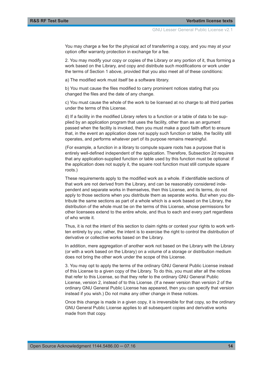You may charge a fee for the physical act of transferring a copy, and you may at your option offer warranty protection in exchange for a fee.

2. You may modify your copy or copies of the Library or any portion of it, thus forming a work based on the Library, and copy and distribute such modifications or work under the terms of Section 1 above, provided that you also meet all of these conditions:

a) The modified work must itself be a software library.

b) You must cause the files modified to carry prominent notices stating that you changed the files and the date of any change.

c) You must cause the whole of the work to be licensed at no charge to all third parties under the terms of this License.

d) If a facility in the modified Library refers to a function or a table of data to be supplied by an application program that uses the facility, other than as an argument passed when the facility is invoked, then you must make a good faith effort to ensure that, in the event an application does not supply such function or table, the facility still operates, and performs whatever part of its purpose remains meaningful.

(For example, a function in a library to compute square roots has a purpose that is entirely well-defined independent of the application. Therefore, Subsection 2d requires that any application-supplied function or table used by this function must be optional: if the application does not supply it, the square root function must still compute square roots.)

These requirements apply to the modified work as a whole. If identifiable sections of that work are not derived from the Library, and can be reasonably considered independent and separate works in themselves, then this License, and its terms, do not apply to those sections when you distribute them as separate works. But when you distribute the same sections as part of a whole which is a work based on the Library, the distribution of the whole must be on the terms of this License, whose permissions for other licensees extend to the entire whole, and thus to each and every part regardless of who wrote it.

Thus, it is not the intent of this section to claim rights or contest your rights to work written entirely by you; rather, the intent is to exercise the right to control the distribution of derivative or collective works based on the Library.

In addition, mere aggregation of another work not based on the Library with the Library (or with a work based on the Library) on a volume of a storage or distribution medium does not bring the other work under the scope of this License.

3. You may opt to apply the terms of the ordinary GNU General Public License instead of this License to a given copy of the Library. To do this, you must alter all the notices that refer to this License, so that they refer to the ordinary GNU General Public License, version 2, instead of to this License. (If a newer version than version 2 of the ordinary GNU General Public License has appeared, then you can specify that version instead if you wish.) Do not make any other change in these notices.

Once this change is made in a given copy, it is irreversible for that copy, so the ordinary GNU General Public License applies to all subsequent copies and derivative works made from that copy.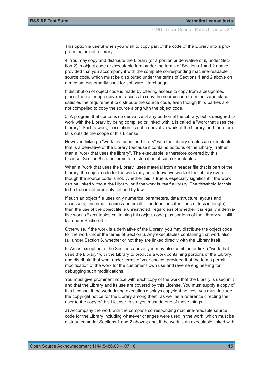This option is useful when you wish to copy part of the code of the Library into a program that is not a library.

4. You may copy and distribute the Library (or a portion or derivative of it, under Section 2) in object code or executable form under the terms of Sections 1 and 2 above provided that you accompany it with the complete corresponding machine-readable source code, which must be distributed under the terms of Sections 1 and 2 above on a medium customarily used for software interchange.

If distribution of object code is made by offering access to copy from a designated place, then offering equivalent access to copy the source code from the same place satisfies the requirement to distribute the source code, even though third parties are not compelled to copy the source along with the object code.

5. A program that contains no derivative of any portion of the Library, but is designed to work with the Library by being compiled or linked with it, is called a "work that uses the Library". Such a work, in isolation, is not a derivative work of the Library, and therefore falls outside the scope of this License.

However, linking a "work that uses the Library" with the Library creates an executable that is a derivative of the Library (because it contains portions of the Library), rather than a "work that uses the library". The executable is therefore covered by this License. Section 6 states terms for distribution of such executables.

When a "work that uses the Library" uses material from a header file that is part of the Library, the object code for the work may be a derivative work of the Library even though the source code is not. Whether this is true is especially significant if the work can be linked without the Library, or if the work is itself a library. The threshold for this to be true is not precisely defined by law.

If such an object file uses only numerical parameters, data structure layouts and accessors, and small macros and small inline functions (ten lines or less in length), then the use of the object file is unrestricted, regardless of whether it is legally a derivative work. (Executables containing this object code plus portions of the Library will still fall under Section 6.)

Otherwise, if the work is a derivative of the Library, you may distribute the object code for the work under the terms of Section 6. Any executables containing that work also fall under Section 6, whether or not they are linked directly with the Library itself.

6. As an exception to the Sections above, you may also combine or link a "work that uses the Library" with the Library to produce a work containing portions of the Library, and distribute that work under terms of your choice, provided that the terms permit modification of the work for the customer's own use and reverse engineering for debugging such modifications.

You must give prominent notice with each copy of the work that the Library is used in it and that the Library and its use are covered by this License. You must supply a copy of this License. If the work during execution displays copyright notices, you must include the copyright notice for the Library among them, as well as a reference directing the user to the copy of this License. Also, you must do one of these things:

a) Accompany the work with the complete corresponding machine-readable source code for the Library including whatever changes were used in the work (which must be distributed under Sections 1 and 2 above); and, if the work is an executable linked with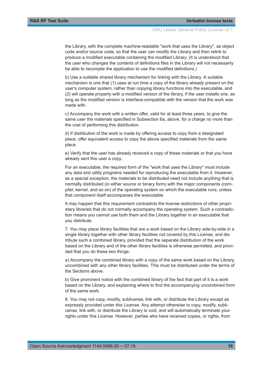the Library, with the complete machine-readable "work that uses the Library", as object code and/or source code, so that the user can modify the Library and then relink to produce a modified executable containing the modified Library. (It is understood that the user who changes the contents of definitions files in the Library will not necessarily be able to recompile the application to use the modified definitions.)

b) Use a suitable shared library mechanism for linking with the Library. A suitable mechanism is one that (1) uses at run time a copy of the library already present on the user's computer system, rather than copying library functions into the executable, and (2) will operate properly with a modified version of the library, if the user installs one, as long as the modified version is interface-compatible with the version that the work was made with.

c) Accompany the work with a written offer, valid for at least three years, to give the same user the materials specified in Subsection 6a, above, for a charge no more than the cost of performing this distribution.

d) If distribution of the work is made by offering access to copy from a designated place, offer equivalent access to copy the above specified materials from the same place.

e) Verify that the user has already received a copy of these materials or that you have already sent this user a copy.

For an executable, the required form of the "work that uses the Library" must include any data and utility programs needed for reproducing the executable from it. However, as a special exception, the materials to be distributed need not include anything that is normally distributed (in either source or binary form) with the major components (compiler, kernel, and so on) of the operating system on which the executable runs, unless that component itself accompanies the executable.

It may happen that this requirement contradicts the license restrictions of other proprietary libraries that do not normally accompany the operating system. Such a contradiction means you cannot use both them and the Library together in an executable that you distribute.

7. You may place library facilities that are a work based on the Library side-by-side in a single library together with other library facilities not covered by this License, and distribute such a combined library, provided that the separate distribution of the work based on the Library and of the other library facilities is otherwise permitted, and provided that you do these two things:

a) Accompany the combined library with a copy of the same work based on the Library, uncombined with any other library facilities. This must be distributed under the terms of the Sections above.

b) Give prominent notice with the combined library of the fact that part of it is a work based on the Library, and explaining where to find the accompanying uncombined form of the same work.

8. You may not copy, modify, sublicense, link with, or distribute the Library except as expressly provided under this License. Any attempt otherwise to copy, modify, sublicense, link with, or distribute the Library is void, and will automatically terminate your rights under this License. However, parties who have received copies, or rights, from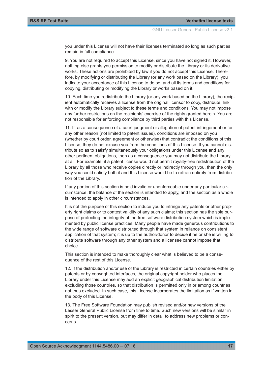you under this License will not have their licenses terminated so long as such parties remain in full compliance.

9. You are not required to accept this License, since you have not signed it. However, nothing else grants you permission to modify or distribute the Library or its derivative works. These actions are prohibited by law if you do not accept this License. Therefore, by modifying or distributing the Library (or any work based on the Library), you indicate your acceptance of this License to do so, and all its terms and conditions for copying, distributing or modifying the Library or works based on it.

10. Each time you redistribute the Library (or any work based on the Library), the recipient automatically receives a license from the original licensor to copy, distribute, link with or modify the Library subject to these terms and conditions. You may not impose any further restrictions on the recipients' exercise of the rights granted herein. You are not responsible for enforcing compliance by third parties with this License.

11. If, as a consequence of a court judgment or allegation of patent infringement or for any other reason (not limited to patent issues), conditions are imposed on you (whether by court order, agreement or otherwise) that contradict the conditions of this License, they do not excuse you from the conditions of this License. If you cannot distribute so as to satisfy simultaneously your obligations under this License and any other pertinent obligations, then as a consequence you may not distribute the Library at all. For example, if a patent license would not permit royalty-free redistribution of the Library by all those who receive copies directly or indirectly through you, then the only way you could satisfy both it and this License would be to refrain entirely from distribution of the Library.

If any portion of this section is held invalid or unenforceable under any particular circumstance, the balance of the section is intended to apply, and the section as a whole is intended to apply in other circumstances.

It is not the purpose of this section to induce you to infringe any patents or other property right claims or to contest validity of any such claims; this section has the sole purpose of protecting the integrity of the free software distribution system which is implemented by public license practices. Many people have made generous contributions to the wide range of software distributed through that system in reliance on consistent application of that system; it is up to the author/donor to decide if he or she is willing to distribute software through any other system and a licensee cannot impose that choice.

This section is intended to make thoroughly clear what is believed to be a consequence of the rest of this License.

12. If the distribution and/or use of the Library is restricted in certain countries either by patents or by copyrighted interfaces, the original copyright holder who places the Library under this License may add an explicit geographical distribution limitation excluding those countries, so that distribution is permitted only in or among countries not thus excluded. In such case, this License incorporates the limitation as if written in the body of this License.

13. The Free Software Foundation may publish revised and/or new versions of the Lesser General Public License from time to time. Such new versions will be similar in spirit to the present version, but may differ in detail to address new problems or concerns.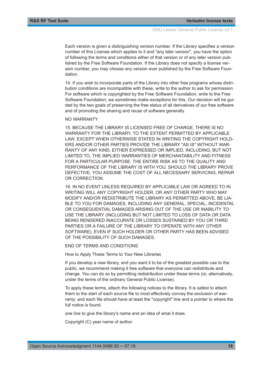Each version is given a distinguishing version number. If the Library specifies a version number of this License which applies to it and "any later version", you have the option of following the terms and conditions either of that version or of any later version published by the Free Software Foundation. If the Library does not specify a license version number, you may choose any version ever published by the Free Software Foundation.

14. If you wish to incorporate parts of the Library into other free programs whose distribution conditions are incompatible with these, write to the author to ask for permission. For software which is copyrighted by the Free Software Foundation, write to the Free Software Foundation; we sometimes make exceptions for this. Our decision will be guided by the two goals of preserving the free status of all derivatives of our free software and of promoting the sharing and reuse of software generally.

#### NO WARRANTY

15. BECAUSE THE LIBRARY IS LICENSED FREE OF CHARGE, THERE IS NO WARRANTY FOR THE LIBRARY, TO THE EXTENT PERMITTED BY APPLICABLE LAW. EXCEPT WHEN OTHERWISE STATED IN WRITING THE COPYRIGHT HOLD-ERS AND/OR OTHER PARTIES PROVIDE THE LIBRARY "AS IS" WITHOUT WAR-RANTY OF ANY KIND, EITHER EXPRESSED OR IMPLIED, INCLUDING, BUT NOT LIMITED TO, THE IMPLIED WARRANTIES OF MERCHANTABILITY AND FITNESS FOR A PARTICULAR PURPOSE. THE ENTIRE RISK AS TO THE QUALITY AND PERFORMANCE OF THE LIBRARY IS WITH YOU. SHOULD THE LIBRARY PROVE DEFECTIVE, YOU ASSUME THE COST OF ALL NECESSARY SERVICING, REPAIR OR CORRECTION.

16. IN NO EVENT UNLESS REQUIRED BY APPLICABLE LAW OR AGREED TO IN WRITING WILL ANY COPYRIGHT HOLDER, OR ANY OTHER PARTY WHO MAY MODIFY AND/OR REDISTRIBUTE THE LIBRARY AS PERMITTED ABOVE, BE LIA-BLE TO YOU FOR DAMAGES, INCLUDING ANY GENERAL, SPECIAL, INCIDENTAL OR CONSEQUENTIAL DAMAGES ARISING OUT OF THE USE OR INABILITY TO USE THE LIBRARY (INCLUDING BUT NOT LIMITED TO LOSS OF DATA OR DATA BEING RENDERED INACCURATE OR LOSSES SUSTAINED BY YOU OR THIRD PARTIES OR A FAILURE OF THE LIBRARY TO OPERATE WITH ANY OTHER SOFTWARE), EVEN IF SUCH HOLDER OR OTHER PARTY HAS BEEN ADVISED OF THE POSSIBILITY OF SUCH DAMAGES.

#### END OF TERMS AND CONDITIONS

How to Apply These Terms to Your New Libraries

If you develop a new library, and you want it to be of the greatest possible use to the public, we recommend making it free software that everyone can redistribute and change. You can do so by permitting redistribution under these terms (or, alternatively, under the terms of the ordinary General Public License).

To apply these terms, attach the following notices to the library. It is safest to attach them to the start of each source file to most effectively convey the exclusion of warranty; and each file should have at least the "copyright" line and a pointer to where the full notice is found.

one line to give the library's name and an idea of what it does.

Copyright (C) year name of author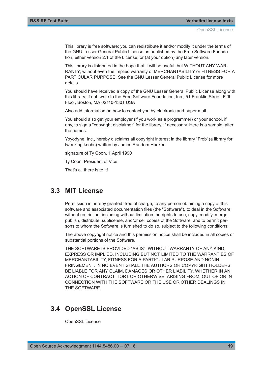<span id="page-18-0"></span>This library is free software; you can redistribute it and/or modify it under the terms of the GNU Lesser General Public License as published by the Free Software Foundation; either version 2.1 of the License, or (at your option) any later version.

This library is distributed in the hope that it will be useful, but WITHOUT ANY WAR-RANTY; without even the implied warranty of MERCHANTABILITY or FITNESS FOR A PARTICULAR PURPOSE. See the GNU Lesser General Public License for more details.

You should have received a copy of the GNU Lesser General Public License along with this library; if not, write to the Free Software Foundation, Inc., 51 Franklin Street, Fifth Floor, Boston, MA 02110-1301 USA

Also add information on how to contact you by electronic and paper mail.

You should also get your employer (if you work as a programmer) or your school, if any, to sign a "copyright disclaimer" for the library, if necessary. Here is a sample; alter the names:

Yoyodyne, Inc., hereby disclaims all copyright interest in the library `Frob' (a library for tweaking knobs) written by James Random Hacker.

signature of Ty Coon, 1 April 1990

Ty Coon, President of Vice

That's all there is to it!

### **3.3 MIT License**

Permission is hereby granted, free of charge, to any person obtaining a copy of this software and associated documentation files (the "Software"), to deal in the Software without restriction, including without limitation the rights to use, copy, modify, merge, publish, distribute, sublicense, and/or sell copies of the Software, and to permit persons to whom the Software is furnished to do so, subject to the following conditions:

The above copyright notice and this permission notice shall be included in all copies or substantial portions of the Software.

THE SOFTWARE IS PROVIDED "AS IS", WITHOUT WARRANTY OF ANY KIND, EXPRESS OR IMPLIED, INCLUDING BUT NOT LIMITED TO THE WARRANTIES OF MERCHANTABILITY, FITNESS FOR A PARTICULAR PURPOSE AND NONIN-FRINGEMENT. IN NO EVENT SHALL THE AUTHORS OR COPYRIGHT HOLDERS BE LIABLE FOR ANY CLAIM, DAMAGES OR OTHER LIABILITY, WHETHER IN AN ACTION OF CONTRACT, TORT OR OTHERWISE, ARISING FROM, OUT OF OR IN CONNECTION WITH THE SOFTWARE OR THE USE OR OTHER DEALINGS IN THE SOFTWARE.

### **3.4 OpenSSL License**

OpenSSL License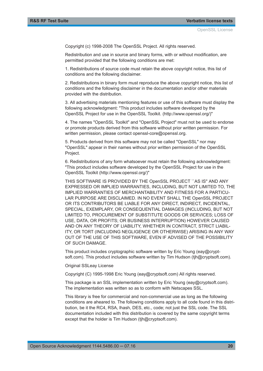Copyright (c) 1998-2008 The OpenSSL Project. All rights reserved.

Redistribution and use in source and binary forms, with or without modification, are permitted provided that the following conditions are met:

1. Redistributions of source code must retain the above copyright notice, this list of conditions and the following disclaimer.

2. Redistributions in binary form must reproduce the above copyright notice, this list of conditions and the following disclaimer in the documentation and/or other materials provided with the distribution.

3. All advertising materials mentioning features or use of this software must display the following acknowledgment: "This product includes software developed by the OpenSSL Project for use in the OpenSSL Toolkit. (http://www.openssl.org/)"

4. The names "OpenSSL Toolkit" and "OpenSSL Project" must not be used to endorse or promote products derived from this software without prior written permission. For written permission, please contact openssl-core@openssl.org.

5. Products derived from this software may not be called "OpenSSL" nor may "OpenSSL" appear in their names without prior written permission of the OpenSSL Project.

6. Redistributions of any form whatsoever must retain the following acknowledgment: "This product includes software developed by the OpenSSL Project for use in the OpenSSL Toolkit (http://www.openssl.org/)"

THIS SOFTWARE IS PROVIDED BY THE OpenSSL PROJECT ``AS IS'' AND ANY EXPRESSED OR IMPLIED WARRANTIES, INCLUDING, BUT NOT LIMITED TO, THE IMPLIED WARRANTIES OF MERCHANTABILITY AND FITNESS FOR A PARTICU-LAR PURPOSE ARE DISCLAIMED. IN NO EVENT SHALL THE OpenSSL PROJECT OR ITS CONTRIBUTORS BE LIABLE FOR ANY DIRECT, INDIRECT, INCIDENTAL, SPECIAL, EXEMPLARY, OR CONSEQUENTIAL DAMAGES (INCLUDING, BUT NOT LIMITED TO, PROCUREMENT OF SUBSTITUTE GOODS OR SERVICES; LOSS OF USE, DATA, OR PROFITS; OR BUSINESS INTERRUPTION) HOWEVER CAUSED AND ON ANY THEORY OF LIABILITY, WHETHER IN CONTRACT, STRICT LIABIL-ITY, OR TORT (INCLUDING NEGLIGENCE OR OTHERWISE) ARISING IN ANY WAY OUT OF THE USE OF THIS SOFTWARE, EVEN IF ADVISED OF THE POSSIBILITY OF SUCH DAMAGE.

This product includes cryptographic software written by Eric Young (eay@cryptsoft.com). This product includes software written by Tim Hudson (tjh@cryptsoft.com).

Original SSLeay License

Copyright (C) 1995-1998 Eric Young (eay@cryptsoft.com) All rights reserved.

This package is an SSL implementation written by Eric Young (eay@cryptsoft.com). The implementation was written so as to conform with Netscapes SSL.

This library is free for commercial and non-commercial use as long as the following conditions are aheared to. The following conditions apply to all code found in this distribution, be it the RC4, RSA, lhash, DES, etc., code; not just the SSL code. The SSL documentation included with this distribution is covered by the same copyright terms except that the holder is Tim Hudson (tih@cryptsoft.com).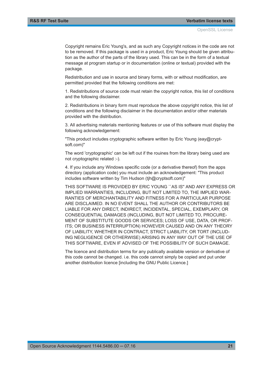Copyright remains Eric Young's, and as such any Copyright notices in the code are not to be removed. If this package is used in a product, Eric Young should be given attribution as the author of the parts of the library used. This can be in the form of a textual message at program startup or in documentation (online or textual) provided with the package.

Redistribution and use in source and binary forms, with or without modification, are permitted provided that the following conditions are met:

1. Redistributions of source code must retain the copyright notice, this list of conditions and the following disclaimer.

2. Redistributions in binary form must reproduce the above copyright notice, this list of conditions and the following disclaimer in the documentation and/or other materials provided with the distribution.

3. All advertising materials mentioning features or use of this software must display the following acknowledgement:

"This product includes cryptographic software written by Eric Young (eay@cryptsoft.com)"

The word 'cryptographic' can be left out if the rouines from the library being used are not cryptographic related :-).

4. If you include any Windows specific code (or a derivative thereof) from the apps directory (application code) you must include an acknowledgement: "This product includes software written by Tim Hudson (tjh@cryptsoft.com)"

THIS SOFTWARE IS PROVIDED BY ERIC YOUNG ``AS IS'' AND ANY EXPRESS OR IMPLIED WARRANTIES, INCLUDING, BUT NOT LIMITED TO, THE IMPLIED WAR-RANTIES OF MERCHANTABILITY AND FITNESS FOR A PARTICULAR PURPOSE ARE DISCLAIMED. IN NO EVENT SHALL THE AUTHOR OR CONTRIBUTORS BE LIABLE FOR ANY DIRECT, INDIRECT, INCIDENTAL, SPECIAL, EXEMPLARY, OR CONSEQUENTIAL DAMAGES (INCLUDING, BUT NOT LIMITED TO, PROCURE-MENT OF SUBSTITUTE GOODS OR SERVICES; LOSS OF USE, DATA, OR PROF-ITS; OR BUSINESS INTERRUPTION) HOWEVER CAUSED AND ON ANY THEORY OF LIABILITY, WHETHER IN CONTRACT, STRICT LIABILITY, OR TORT (INCLUD-ING NEGLIGENCE OR OTHERWISE) ARISING IN ANY WAY OUT OF THE USE OF THIS SOFTWARE, EVEN IF ADVISED OF THE POSSIBILITY OF SUCH DAMAGE.

The licence and distribution terms for any publically available version or derivative of this code cannot be changed. i.e. this code cannot simply be copied and put under another distribution licence [including the GNU Public Licence.]